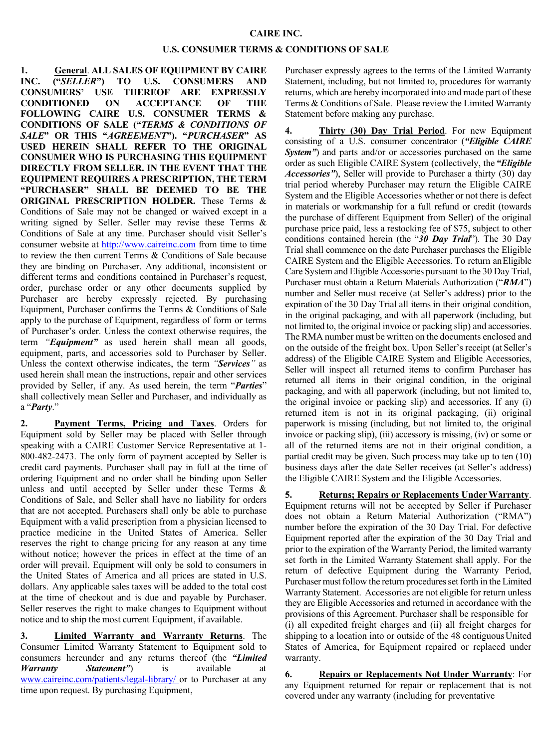## **CAIRE INC.**

## **U.S. CONSUMER TERMS & CONDITIONS OF SALE**

**1. General**. **ALL SALES OF EQUIPMENT BY CAIRE INC. ("***SELLER***") TO U.S. CONSUMERS AND CONSUMERS' USE THEREOF ARE EXPRESSLY CONDITIONED ON ACCEPTANCE OF THE FOLLOWING CAIRE U.S. CONSUMER TERMS & CONDITIONS OF SALE ("***TERMS & CONDITIONS OF SALE***" OR THIS "***AGREEMENT***"). "***PURCHASER***" AS USED HEREIN SHALL REFER TO THE ORIGINAL CONSUMER WHO IS PURCHASING THIS EQUIPMENT DIRECTLY FROM SELLER. IN THE EVENT THAT THE EQUIPMENT REQUIRES A PRESCRIPTION, THE TERM "PURCHASER" SHALL BE DEEMED TO BE THE ORIGINAL PRESCRIPTION HOLDER.** These Terms & Conditions of Sale may not be changed or waived except in a writing signed by Seller. Seller may revise these Terms & Conditions of Sale at any time. Purchaser should visit Seller's consumer website at http://www.caireinc.com from time to time to review the then current Terms & Conditions of Sale because they are binding on Purchaser. Any additional, inconsistent or different terms and conditions contained in Purchaser's request, order, purchase order or any other documents supplied by Purchaser are hereby expressly rejected. By purchasing Equipment, Purchaser confirms the Terms & Conditions of Sale apply to the purchase of Equipment, regardless of form or terms of Purchaser's order. Unless the context otherwise requires, the term *"Equipment"* as used herein shall mean all goods, equipment, parts, and accessories sold to Purchaser by Seller. Unless the context otherwise indicates, the term *"Services"* as used herein shall mean the instructions, repair and other services provided by Seller, if any. As used herein, the term "*Parties*" shall collectively mean Seller and Purchaser, and individually as a "*Party*."

**2. Payment Terms, Pricing and Taxes**. Orders for Equipment sold by Seller may be placed with Seller through speaking with a CAIRE Customer Service Representative at 1- 800-482-2473. The only form of payment accepted by Seller is credit card payments. Purchaser shall pay in full at the time of ordering Equipment and no order shall be binding upon Seller unless and until accepted by Seller under these Terms & Conditions of Sale, and Seller shall have no liability for orders that are not accepted. Purchasers shall only be able to purchase Equipment with a valid prescription from a physician licensed to practice medicine in the United States of America. Seller reserves the right to change pricing for any reason at any time without notice; however the prices in effect at the time of an order will prevail. Equipment will only be sold to consumers in the United States of America and all prices are stated in U.S. dollars. Any applicable sales taxes will be added to the total cost at the time of checkout and is due and payable by Purchaser. Seller reserves the right to make changes to Equipment without notice and to ship the most current Equipment, if available.

**3. Limited Warranty and Warranty Returns**. The Consumer Limited Warranty Statement to Equipment sold to consumers hereunder and any returns thereof (the *"Limited Warranty Statement*" is available www.caireinc.com/patients/legal-library/ or to Purchaser at any time upon request. By purchasing Equipment,

Purchaser expressly agrees to the terms of the Limited Warranty Statement, including, but not limited to, procedures for warranty returns, which are hereby incorporated into and made part of these Terms & Conditions of Sale. Please review the Limited Warranty Statement before making any purchase.

**4. Thirty (30) Day Trial Period**. For new Equipment consisting of a U.S. consumer concentrator (*"Eligible CAIRE System"*) and parts and/or or accessories purchased on the same order as such Eligible CAIRE System (collectively, the *"Eligible Accessories"*), Seller will provide to Purchaser a thirty (30) day trial period whereby Purchaser may return the Eligible CAIRE System and the Eligible Accessories whether or not there is defect in materials or workmanship for a full refund or credit (towards the purchase of different Equipment from Seller) of the original purchase price paid, less a restocking fee of \$75, subject to other conditions contained herein (the "*30 Day Trial*"). The 30 Day Trial shall commence on the date Purchaser purchases the Eligible CAIRE System and the Eligible Accessories. To return anEligible Care System and Eligible Accessories pursuant to the 30 Day Trial, Purchaser must obtain a Return Materials Authorization ("*RMA*") number and Seller must receive (at Seller's address) prior to the expiration of the 30 Day Trial all items in their original condition, in the original packaging, and with all paperwork (including, but not limited to, the original invoice or packing slip) and accessories. The RMA number must be written on the documents enclosed and on the outside of the freight box. Upon Seller's receipt (at Seller's address) of the Eligible CAIRE System and Eligible Accessories, Seller will inspect all returned items to confirm Purchaser has returned all items in their original condition, in the original packaging, and with all paperwork (including, but not limited to, the original invoice or packing slip) and accessories. If any (i) returned item is not in its original packaging, (ii) original paperwork is missing (including, but not limited to, the original invoice or packing slip), (iii) accessory is missing, (iv) or some or all of the returned items are not in their original condition, a partial credit may be given. Such process may take up to ten (10) business days after the date Seller receives (at Seller's address) the Eligible CAIRE System and the Eligible Accessories.

**5. Returns; Repairs or Replacements UnderWarranty**. Equipment returns will not be accepted by Seller if Purchaser does not obtain a Return Material Authorization ("RMA") number before the expiration of the 30 Day Trial. For defective Equipment reported after the expiration of the 30 Day Trial and prior to the expiration of the Warranty Period, the limited warranty set forth in the Limited Warranty Statement shall apply. For the return of defective Equipment during the Warranty Period, Purchaser must follow the return procedures set forth in the Limited Warranty Statement. Accessories are not eligible for return unless they are Eligible Accessories and returned in accordance with the provisions of this Agreement. Purchaser shall be responsible for (i) all expedited freight charges and (ii) all freight charges for shipping to a location into or outside of the 48 contiguous United States of America, for Equipment repaired or replaced under warranty.

**6. Repairs or Replacements Not Under Warranty**: For any Equipment returned for repair or replacement that is not covered under any warranty (including for preventative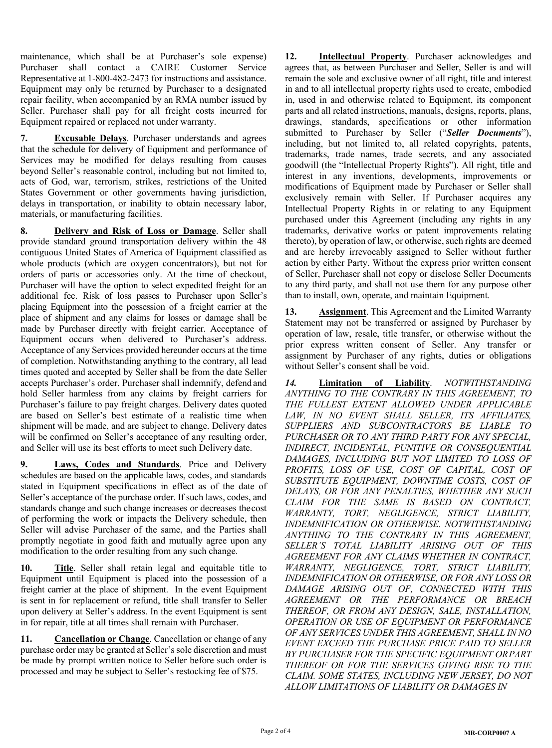maintenance, which shall be at Purchaser's sole expense) Purchaser shall contact a CAIRE Customer Service Representative at 1-800-482-2473 for instructions and assistance. Equipment may only be returned by Purchaser to a designated repair facility, when accompanied by an RMA number issued by Seller. Purchaser shall pay for all freight costs incurred for Equipment repaired or replaced not under warranty.

**7. Excusable Delays**. Purchaser understands and agrees that the schedule for delivery of Equipment and performance of Services may be modified for delays resulting from causes beyond Seller's reasonable control, including but not limited to, acts of God, war, terrorism, strikes, restrictions of the United States Government or other governments having jurisdiction, delays in transportation, or inability to obtain necessary labor, materials, or manufacturing facilities.

**8. Delivery and Risk of Loss or Damage**. Seller shall provide standard ground transportation delivery within the 48 contiguous United States of America of Equipment classified as whole products (which are oxygen concentrators), but not for orders of parts or accessories only. At the time of checkout, Purchaser will have the option to select expedited freight for an additional fee. Risk of loss passes to Purchaser upon Seller's placing Equipment into the possession of a freight carrier at the place of shipment and any claims for losses or damage shall be made by Purchaser directly with freight carrier. Acceptance of Equipment occurs when delivered to Purchaser's address. Acceptance of any Services provided hereunder occurs at the time of completion. Notwithstanding anything to the contrary, all lead times quoted and accepted by Seller shall be from the date Seller accepts Purchaser's order. Purchaser shall indemnify, defend and hold Seller harmless from any claims by freight carriers for Purchaser's failure to pay freight charges. Delivery dates quoted are based on Seller's best estimate of a realistic time when shipment will be made, and are subject to change. Delivery dates will be confirmed on Seller's acceptance of any resulting order, and Seller will use its best efforts to meet such Delivery date.

**9. Laws, Codes and Standards**. Price and Delivery schedules are based on the applicable laws, codes, and standards stated in Equipment specifications in effect as of the date of Seller's acceptance of the purchase order. If such laws, codes, and standards change and such change increases or decreases thecost of performing the work or impacts the Delivery schedule, then Seller will advise Purchaser of the same, and the Parties shall promptly negotiate in good faith and mutually agree upon any modification to the order resulting from any such change.

**10. Title**. Seller shall retain legal and equitable title to Equipment until Equipment is placed into the possession of a freight carrier at the place of shipment. In the event Equipment is sent in for replacement or refund, title shall transfer to Seller upon delivery at Seller's address. In the event Equipment is sent in for repair, title at all times shall remain with Purchaser.

**11. Cancellation or Change**. Cancellation or change of any purchase order may be granted at Seller's sole discretion and must be made by prompt written notice to Seller before such order is processed and may be subject to Seller's restocking fee of \$75.

**12. Intellectual Property**. Purchaser acknowledges and agrees that, as between Purchaser and Seller, Seller is and will remain the sole and exclusive owner of all right, title and interest in and to all intellectual property rights used to create, embodied in, used in and otherwise related to Equipment, its component parts and all related instructions, manuals, designs, reports, plans, drawings, standards, specifications or other information submitted to Purchaser by Seller ("*Seller Documents*"), including, but not limited to, all related copyrights, patents, trademarks, trade names, trade secrets, and any associated goodwill (the "Intellectual Property Rights"). All right, title and interest in any inventions, developments, improvements or modifications of Equipment made by Purchaser or Seller shall exclusively remain with Seller. If Purchaser acquires any Intellectual Property Rights in or relating to any Equipment purchased under this Agreement (including any rights in any trademarks, derivative works or patent improvements relating thereto), by operation of law, or otherwise, such rights are deemed and are hereby irrevocably assigned to Seller without further action by either Party. Without the express prior written consent of Seller, Purchaser shall not copy or disclose Seller Documents to any third party, and shall not use them for any purpose other than to install, own, operate, and maintain Equipment.

**13. Assignment**. This Agreement and the Limited Warranty Statement may not be transferred or assigned by Purchaser by operation of law, resale, title transfer, or otherwise without the prior express written consent of Seller. Any transfer or assignment by Purchaser of any rights, duties or obligations without Seller's consent shall be void.

*14.* **Limitation of Liability**. *NOTWITHSTANDING ANYTHING TO THE CONTRARY IN THIS AGREEMENT, TO THE FULLEST EXTENT ALLOWED UNDER APPLICABLE LAW, IN NO EVENT SHALL SELLER, ITS AFFILIATES, SUPPLIERS AND SUBCONTRACTORS BE LIABLE TO PURCHASER OR TO ANY THIRD PARTY FOR ANY SPECIAL, INDIRECT, INCIDENTAL, PUNITIVE OR CONSEQUENTIAL DAMAGES, INCLUDING BUT NOT LIMITED TO LOSS OF*  PROFITS, LOSS OF USE, COST OF CAPITAL, COST OF *SUBSTITUTE EQUIPMENT, DOWNTIME COSTS, COST OF DELAYS, OR FOR ANY PENALTIES, WHETHER ANY SUCH CLAIM FOR THE SAME IS BASED ON CONTRACT, WARRANTY, TORT, NEGLIGENCE, STRICT LIABILITY, INDEMNIFICATION OR OTHERWISE. NOTWITHSTANDING ANYTHING TO THE CONTRARY IN THIS AGREEMENT, SELLER'S TOTAL LIABILITY ARISING OUT OF THIS AGREEMENT FOR ANY CLAIMS WHETHER IN CONTRACT, WARRANTY, NEGLIGENCE, TORT, STRICT LIABILITY, INDEMNIFICATION OR OTHERWISE, OR FOR ANY LOSS OR DAMAGE ARISING OUT OF, CONNECTED WITH THIS AGREEMENT OR THE PERFORMANCE OR BREACH THEREOF, OR FROM ANY DESIGN, SALE, INSTALLATION, OPERATION OR USE OF EQUIPMENT OR PERFORMANCE OF ANY SERVICES UNDER THIS AGREEMENT, SHALL IN NO EVENT EXCEED THE PURCHASE PRICE PAID TO SELLER BY PURCHASER FOR THE SPECIFIC EQUIPMENT ORPART THEREOF OR FOR THE SERVICES GIVING RISE TO THE CLAIM. SOME STATES, INCLUDING NEW JERSEY, DO NOT ALLOW LIMITATIONS OF LIABILITY OR DAMAGES IN*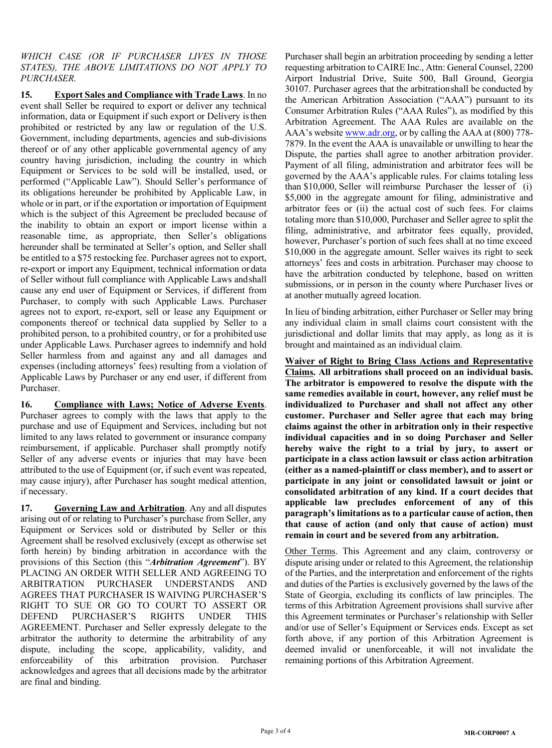*WHICH CASE (OR IF PURCHASER LIVES IN THOSE STATES), THE ABOVE LIMITATIONS DO NOT APPLY TO PURCHASER.*

**15. Export Sales and Compliance with Trade Laws**. In no event shall Seller be required to export or deliver any technical information, data or Equipment if such export or Delivery isthen prohibited or restricted by any law or regulation of the U.S. Government, including departments, agencies and sub-divisions thereof or of any other applicable governmental agency of any country having jurisdiction, including the country in which Equipment or Services to be sold will be installed, used, or performed ("Applicable Law"). Should Seller's performance of its obligations hereunder be prohibited by Applicable Law, in whole or in part, or if the exportation or importation of Equipment which is the subject of this Agreement be precluded because of the inability to obtain an export or import license within a reasonable time, as appropriate, then Seller's obligations hereunder shall be terminated at Seller's option, and Seller shall be entitled to a \$75 restocking fee. Purchaser agrees not to export, re-export or import any Equipment, technical information or data of Seller without full compliance with Applicable Laws andshall cause any end user of Equipment or Services, if different from Purchaser, to comply with such Applicable Laws. Purchaser agrees not to export, re-export, sell or lease any Equipment or components thereof or technical data supplied by Seller to a prohibited person, to a prohibited country, or for a prohibited use under Applicable Laws. Purchaser agrees to indemnify and hold Seller harmless from and against any and all damages and expenses (including attorneys' fees) resulting from a violation of Applicable Laws by Purchaser or any end user, if different from Purchaser.

**16. Compliance with Laws; Notice of Adverse Events**. Purchaser agrees to comply with the laws that apply to the purchase and use of Equipment and Services, including but not limited to any laws related to government or insurance company reimbursement, if applicable. Purchaser shall promptly notify Seller of any adverse events or injuries that may have been attributed to the use of Equipment (or, if such event was repeated, may cause injury), after Purchaser has sought medical attention, if necessary.

**17. Governing Law and Arbitration**. Any and all disputes arising out of or relating to Purchaser's purchase from Seller, any Equipment or Services sold or distributed by Seller or this Agreement shall be resolved exclusively (except as otherwise set forth herein) by binding arbitration in accordance with the provisions of this Section (this "*Arbitration Agreement*"). BY PLACING AN ORDER WITH SELLER AND AGREEING TO ARBITRATION PURCHASER UNDERSTANDS AND AGREES THAT PURCHASER IS WAIVING PURCHASER'S RIGHT TO SUE OR GO TO COURT TO ASSERT OR DEFEND PURCHASER'S RIGHTS UNDER THIS AGREEMENT. Purchaser and Seller expressly delegate to the arbitrator the authority to determine the arbitrability of any dispute, including the scope, applicability, validity, and enforceability of this arbitration provision. Purchaser acknowledges and agrees that all decisions made by the arbitrator are final and binding.

Purchaser shall begin an arbitration proceeding by sending a letter requesting arbitration to CAIRE Inc., Attn: General Counsel, 2200 Airport Industrial Drive, Suite 500, Ball Ground, Georgia 30107. Purchaser agrees that the arbitrationshall be conducted by the American Arbitration Association ("AAA") pursuant to its Consumer Arbitration Rules ("AAA Rules"), as modified by this Arbitration Agreement. The AAA Rules are available on the AAA's website www.adr.org, or by calling the AAA at (800) 778-7879. In the event the AAA is unavailable or unwilling to hear the Dispute, the parties shall agree to another arbitration provider. Payment of all filing, administration and arbitrator fees will be governed by the AAA's applicable rules. For claims totaling less than \$10,000, Seller will reimburse Purchaser the lesser of (i) \$5,000 in the aggregate amount for filing, administrative and arbitrator fees or (ii) the actual cost of such fees. For claims totaling more than \$10,000, Purchaser and Seller agree to split the filing, administrative, and arbitrator fees equally, provided, however, Purchaser's portion of such fees shall at no time exceed \$10,000 in the aggregate amount. Seller waives its right to seek attorneys' fees and costs in arbitration. Purchaser may choose to have the arbitration conducted by telephone, based on written submissions, or in person in the county where Purchaser lives or at another mutually agreed location.

In lieu of binding arbitration, either Purchaser or Seller may bring any individual claim in small claims court consistent with the jurisdictional and dollar limits that may apply, as long as it is brought and maintained as an individual claim.

**Waiver of Right to Bring Class Actions and Representative Claims. All arbitrations shall proceed on an individual basis. The arbitrator is empowered to resolve the dispute with the same remedies available in court, however, any relief must be individualized to Purchaser and shall not affect any other customer. Purchaser and Seller agree that each may bring claims against the other in arbitration only in their respective individual capacities and in so doing Purchaser and Seller hereby waive the right to a trial by jury, to assert or participate in a class action lawsuit or class action arbitration (either as a named-plaintiff or class member), and to assert or participate in any joint or consolidated lawsuit or joint or consolidated arbitration of any kind. If a court decides that applicable law precludes enforcement of any of this paragraph's limitations as to a particular cause of action, then that cause of action (and only that cause of action) must remain in court and be severed from any arbitration.**

Other Terms. This Agreement and any claim, controversy or dispute arising under or related to this Agreement, the relationship of the Parties, and the interpretation and enforcement of the rights and duties of the Parties is exclusively governed by the laws of the State of Georgia, excluding its conflicts of law principles. The terms of this Arbitration Agreement provisions shall survive after this Agreement terminates or Purchaser's relationship with Seller and/or use of Seller's Equipment or Services ends. Except as set forth above, if any portion of this Arbitration Agreement is deemed invalid or unenforceable, it will not invalidate the remaining portions of this Arbitration Agreement.